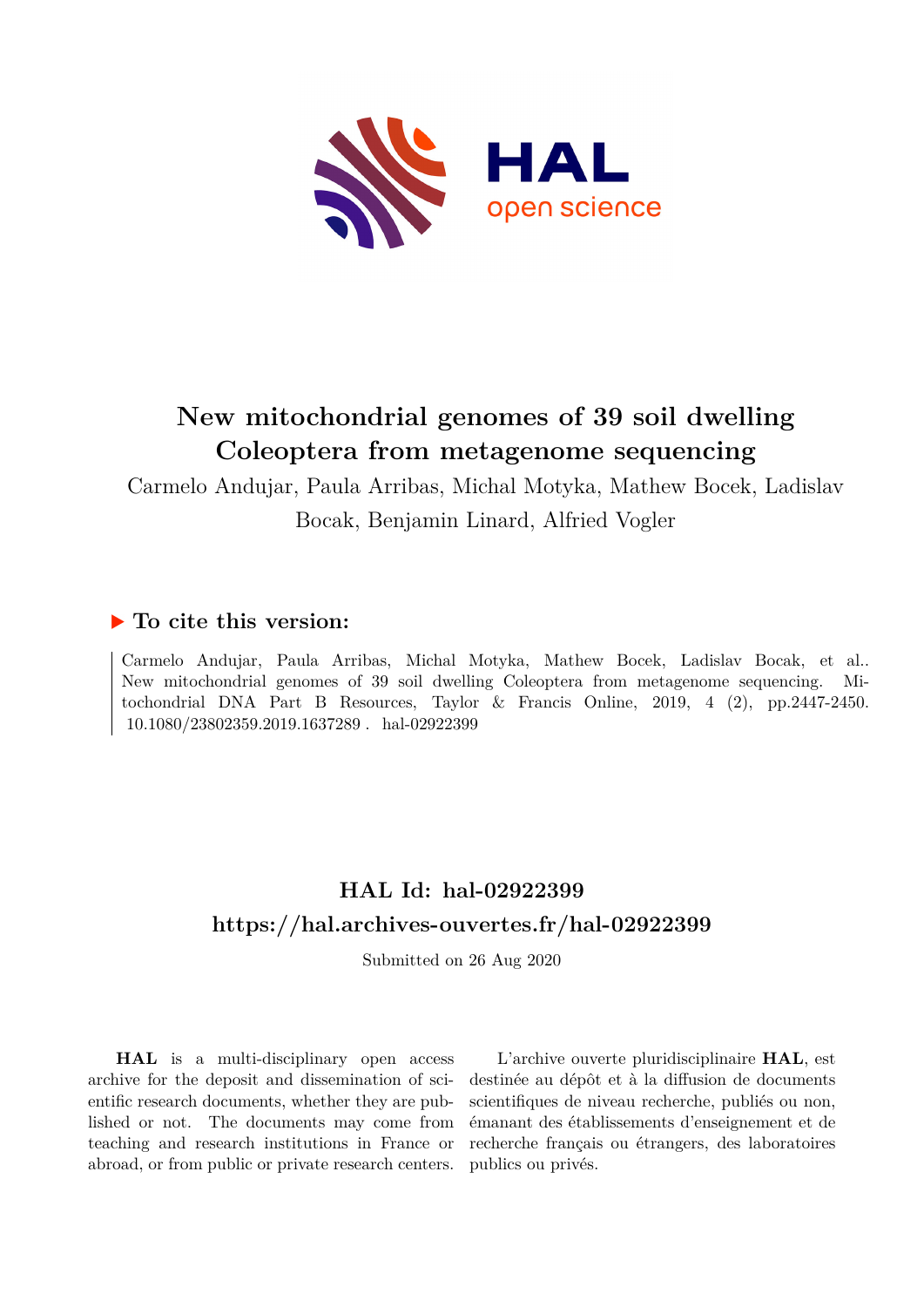

# **New mitochondrial genomes of 39 soil dwelling Coleoptera from metagenome sequencing**

Carmelo Andujar, Paula Arribas, Michal Motyka, Mathew Bocek, Ladislav Bocak, Benjamin Linard, Alfried Vogler

## **To cite this version:**

Carmelo Andujar, Paula Arribas, Michal Motyka, Mathew Bocek, Ladislav Bocak, et al.. New mitochondrial genomes of 39 soil dwelling Coleoptera from metagenome sequencing. Mitochondrial DNA Part B Resources, Taylor & Francis Online, 2019, 4 (2), pp.2447-2450.  $10.1080/23802359.2019.1637289$ . hal-02922399

## **HAL Id: hal-02922399 <https://hal.archives-ouvertes.fr/hal-02922399>**

Submitted on 26 Aug 2020

**HAL** is a multi-disciplinary open access archive for the deposit and dissemination of scientific research documents, whether they are published or not. The documents may come from teaching and research institutions in France or abroad, or from public or private research centers.

L'archive ouverte pluridisciplinaire **HAL**, est destinée au dépôt et à la diffusion de documents scientifiques de niveau recherche, publiés ou non, émanant des établissements d'enseignement et de recherche français ou étrangers, des laboratoires publics ou privés.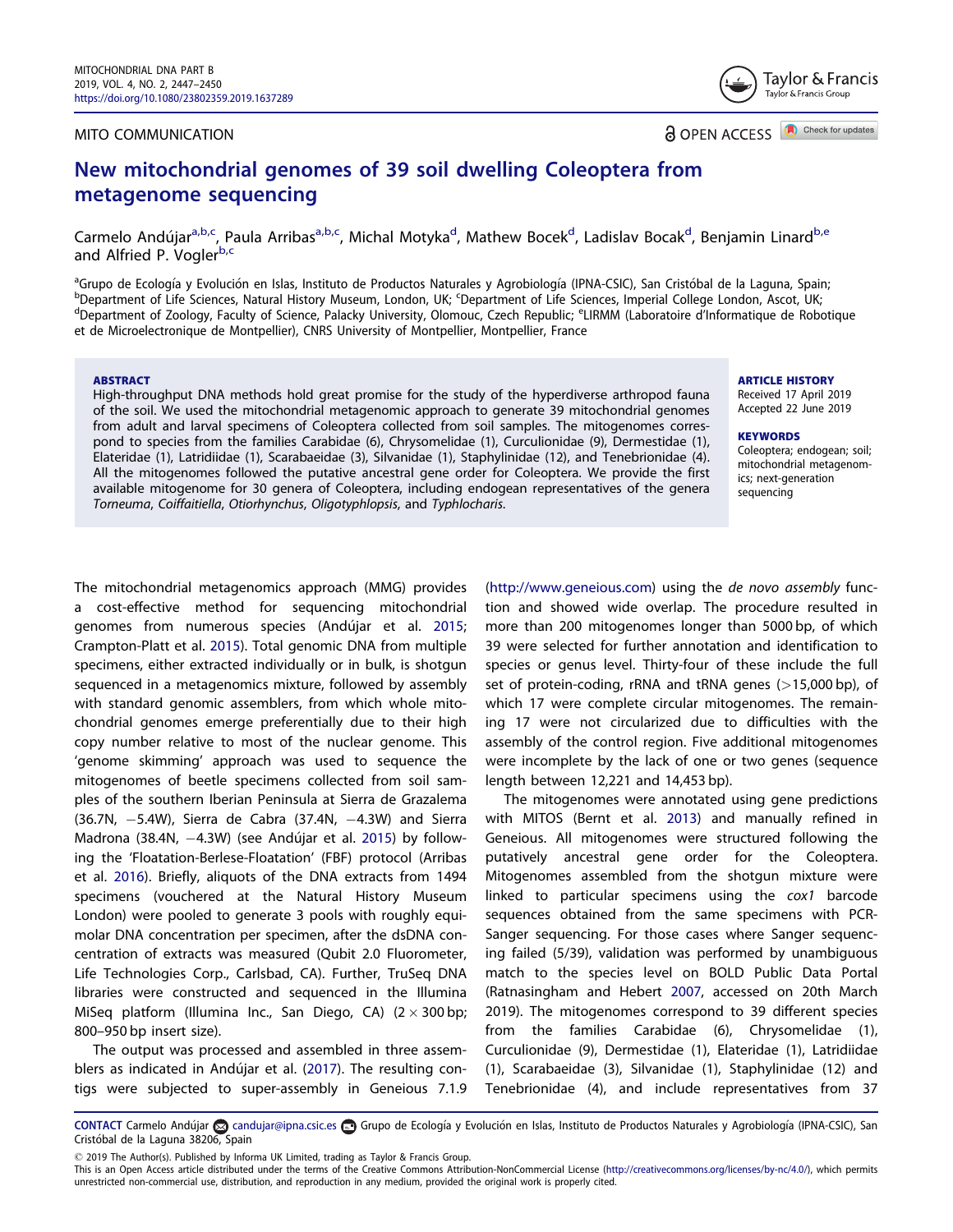#### <span id="page-1-0"></span>MITO COMMUNICATION

Check for updates a OPEN ACCESS

Taylor & Francis Taylor & Francis Group

### New mitochondrial genomes of 39 soil dwelling Coleoptera from metagenome sequencing

Carmelo Andújar<sup>a,b,c</sup>, Paula Arribas<sup>a,b,c</sup>, Michal Motyka<sup>d</sup>, Mathew Bocek<sup>d</sup>, Ladislav Bocak<sup>d</sup>, Benjamin Linard<sup>b,e</sup> and Alfried P. Voglerb,c

<sup>a</sup>Grupo de Ecología y Evolución en Islas, Instituto de Productos Naturales y Agrobiología (IPNA-CSIC), San Cristóbal de la Laguna, Spain;<br>PDopartment of Life Sciences, Natural History Museum, London JIK: Sponartment of Li b<br>Pepartment of Life Sciences, Natural History Museum, London, UK; Department of Life Sciences, Imperial College London, Ascot, UK;<br>Pepartment of Zoelogy, Faculty of Science, Palacky University, Olomous, Czech Popublic: <sup>e</sup> Department of Zoology, Faculty of Science, Palacky University, Olomouc, Czech Republic; <sup>e</sup>LIRMM (Laboratoire d'Informatique de Robotique et de Microelectronique de Montpellier), CNRS University of Montpellier, Montpellier, France

#### ABSTRACT

High-throughput DNA methods hold great promise for the study of the hyperdiverse arthropod fauna of the soil. We used the mitochondrial metagenomic approach to generate 39 mitochondrial genomes from adult and larval specimens of Coleoptera collected from soil samples. The mitogenomes correspond to species from the families Carabidae (6), Chrysomelidae (1), Curculionidae (9), Dermestidae (1), Elateridae (1), Latridiidae (1), Scarabaeidae (3), Silvanidae (1), Staphylinidae (12), and Tenebrionidae (4). All the mitogenomes followed the putative ancestral gene order for Coleoptera. We provide the first available mitogenome for 30 genera of Coleoptera, including endogean representatives of the genera Torneuma, Coiffaitiella, Otiorhynchus, Oligotyphlopsis, and Typhlocharis.

ARTICLE HISTORY

Received 17 April 2019 Accepted 22 June 2019

#### **KEYWORDS**

Coleoptera; endogean; soil; mitochondrial metagenomics; next-generation sequencing

The mitochondrial metagenomics approach (MMG) provides a cost-effective method for sequencing mitochondrial genomes from numerous species (Andújar et al. [2015](#page-3-0); Crampton-Platt et al. [2015](#page-4-0)). Total genomic DNA from multiple specimens, either extracted individually or in bulk, is shotgun sequenced in a metagenomics mixture, followed by assembly with standard genomic assemblers, from which whole mitochondrial genomes emerge preferentially due to their high copy number relative to most of the nuclear genome. This 'genome skimming' approach was used to sequence the mitogenomes of beetle specimens collected from soil samples of the southern Iberian Peninsula at Sierra de Grazalema  $(36.7N, -5.4W)$ , Sierra de Cabra  $(37.4N, -4.3W)$  and Sierra Madrona (38.4N, -4.3W) (see Andújar et al. [2015](#page-3-0)) by following the 'Floatation-Berlese-Floatation' (FBF) protocol (Arribas et al. [2016\)](#page-4-0). Briefly, aliquots of the DNA extracts from 1494 specimens (vouchered at the Natural History Museum London) were pooled to generate 3 pools with roughly equimolar DNA concentration per specimen, after the dsDNA concentration of extracts was measured (Qubit 2.0 Fluorometer, Life Technologies Corp., Carlsbad, CA). Further, TruSeq DNA libraries were constructed and sequenced in the Illumina MiSeq platform (Illumina Inc., San Diego, CA)  $(2 \times 300 \text{ bp})$ ; 800–950 bp insert size).

The output was processed and assembled in three assem-blers as indicated in Andújar et al. ([2017\)](#page-3-0). The resulting contigs were subjected to super-assembly in Geneious 7.1.9 ([http://www.geneious.com\)](http://www.geneious.com) using the de novo assembly function and showed wide overlap. The procedure resulted in more than 200 mitogenomes longer than 5000 bp, of which 39 were selected for further annotation and identification to species or genus level. Thirty-four of these include the full set of protein-coding, rRNA and tRNA genes (>15,000 bp), of which 17 were complete circular mitogenomes. The remaining 17 were not circularized due to difficulties with the assembly of the control region. Five additional mitogenomes were incomplete by the lack of one or two genes (sequence length between 12,221 and 14,453 bp).

The mitogenomes were annotated using gene predictions with MITOS (Bernt et al. [2013](#page-4-0)) and manually refined in Geneious. All mitogenomes were structured following the putatively ancestral gene order for the Coleoptera. Mitogenomes assembled from the shotgun mixture were linked to particular specimens using the cox1 barcode sequences obtained from the same specimens with PCR-Sanger sequencing. For those cases where Sanger sequencing failed (5/39), validation was performed by unambiguous match to the species level on BOLD Public Data Portal (Ratnasingham and Hebert [2007,](#page-4-0) accessed on 20th March 2019). The mitogenomes correspond to 39 different species from the families Carabidae (6), Chrysomelidae (1), Curculionidae (9), Dermestidae (1), Elateridae (1), Latridiidae (1), Scarabaeidae (3), Silvanidae (1), Staphylinidae (12) and Tenebrionidae (4), and include representatives from 37

CONTACT Carmelo Andújar a candujar@ipna.csic.es co Grupo de Ecología y Evolución en Islas, Instituto de Productos Naturales y Agrobiología (IPNA-CSIC), San Cristóbal de la Laguna 38206, Spain

2019 The Author(s). Published by Informa UK Limited, trading as Taylor & Francis Group.

This is an Open Access article distributed under the terms of the Creative Commons Attribution-NonCommercial License ([http://creativecommons.org/licenses/by-nc/4.0/\)](http://creativecommons.org/licenses/by-nc/4.0/), which permits unrestricted non-commercial use, distribution, and reproduction in any medium, provided the original work is properly cited.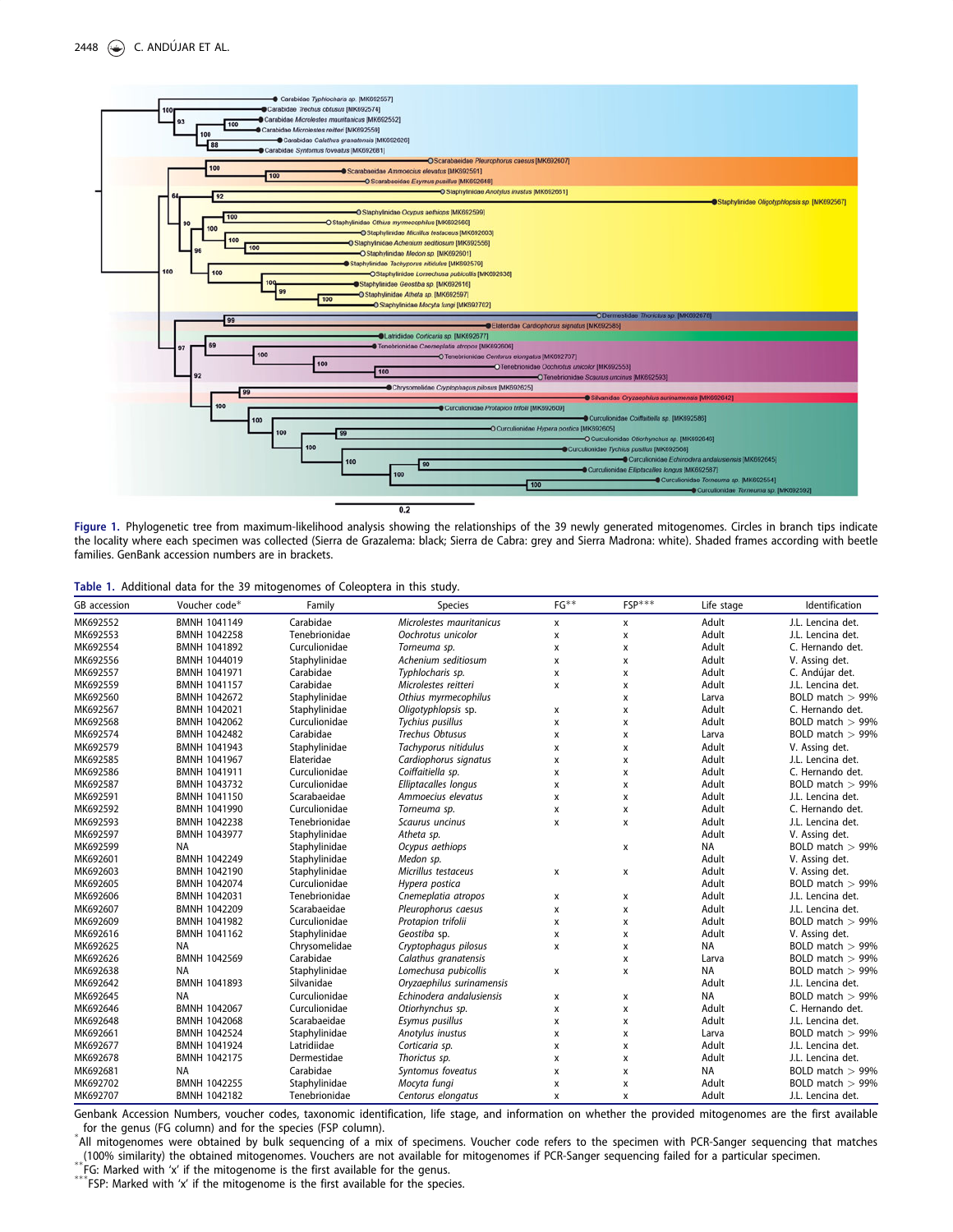<span id="page-2-0"></span>

Figure 1. Phylogenetic tree from maximum-likelihood analysis showing the relationships of the 39 newly generated mitogenomes. Circles in branch tips indicate the locality where each specimen was collected (Sierra de Grazalema: black; Sierra de Cabra: grey and Sierra Madrona: white). Shaded frames according with beetle families. GenBank accession numbers are in brackets.

|  |  |  | Table 1. Additional data for the 39 mitogenomes of Coleoptera in this study. |  |  |  |
|--|--|--|------------------------------------------------------------------------------|--|--|--|
|  |  |  |                                                                              |  |  |  |

| GB accession | Voucher code*       | Family        | Species                   | $FG**$                    | $FSP***$ | Life stage | Identification      |
|--------------|---------------------|---------------|---------------------------|---------------------------|----------|------------|---------------------|
| MK692552     | BMNH 1041149        | Carabidae     | Microlestes mauritanicus  | X                         | X        | Adult      | J.L. Lencina det.   |
| MK692553     | <b>BMNH 1042258</b> | Tenebrionidae | Oochrotus unicolor        | X                         | x        | Adult      | J.L. Lencina det.   |
| MK692554     | BMNH 1041892        | Curculionidae | Torneuma sp.              | х                         | x        | Adult      | C. Hernando det.    |
| MK692556     | BMNH 1044019        | Staphylinidae | Achenium seditiosum       | X                         | X        | Adult      | V. Assing det.      |
| MK692557     | BMNH 1041971        | Carabidae     | Typhlocharis sp.          | x                         | x        | Adult      | C. Andújar det.     |
| MK692559     | <b>BMNH 1041157</b> | Carabidae     | Microlestes reitteri      | X                         | X        | Adult      | J.L. Lencina det.   |
| MK692560     | <b>BMNH 1042672</b> | Staphylinidae | Othius myrmecophilus      |                           | X        | Larva      | BOLD match $> 99\%$ |
| MK692567     | BMNH 1042021        | Staphylinidae | Oligotyphlopsis sp.       | X                         | x        | Adult      | C. Hernando det.    |
| MK692568     | BMNH 1042062        | Curculionidae | Tychius pusillus          | X                         | x        | Adult      | BOLD match $> 99\%$ |
| MK692574     | BMNH 1042482        | Carabidae     | Trechus Obtusus           | X                         | x        | Larva      | BOLD match $> 99\%$ |
| MK692579     | <b>BMNH 1041943</b> | Staphylinidae | Tachyporus nitidulus      | X                         | x        | Adult      | V. Assing det.      |
| MK692585     | BMNH 1041967        | Elateridae    | Cardiophorus signatus     | x                         | X        | Adult      | J.L. Lencina det.   |
| MK692586     | BMNH 1041911        | Curculionidae | Coiffaitiella sp.         | $\boldsymbol{\mathsf{x}}$ | x        | Adult      | C. Hernando det.    |
| MK692587     | BMNH 1043732        | Curculionidae | Elliptacalles longus      | $\pmb{\chi}$              | x        | Adult      | BOLD match $> 99\%$ |
| MK692591     | BMNH 1041150        | Scarabaeidae  | Ammoecius elevatus        | X                         | x        | Adult      | J.L. Lencina det.   |
| MK692592     | BMNH 1041990        | Curculionidae | Torneuma sp.              | X                         | x        | Adult      | C. Hernando det.    |
| MK692593     | <b>BMNH 1042238</b> | Tenebrionidae | Scaurus uncinus           | X                         | X        | Adult      | J.L. Lencina det.   |
| MK692597     | <b>BMNH 1043977</b> | Staphylinidae | Atheta sp.                |                           |          | Adult      | V. Assing det.      |
| MK692599     | <b>NA</b>           | Staphylinidae | Ocypus aethiops           |                           | x        | <b>NA</b>  | BOLD match $> 99\%$ |
| MK692601     | BMNH 1042249        | Staphylinidae | Medon sp.                 |                           |          | Adult      | V. Assing det.      |
| MK692603     | BMNH 1042190        | Staphylinidae | Micrillus testaceus       | X                         | X        | Adult      | V. Assing det.      |
| MK692605     | <b>BMNH 1042074</b> | Curculionidae | Hypera postica            |                           |          | Adult      | BOLD match $> 99\%$ |
| MK692606     | BMNH 1042031        | Tenebrionidae | Cnemeplatia atropos       | x                         | x        | Adult      | J.L. Lencina det.   |
| MK692607     | BMNH 1042209        | Scarabaeidae  | Pleurophorus caesus       | $\boldsymbol{\mathsf{x}}$ | X        | Adult      | J.L. Lencina det.   |
| MK692609     | BMNH 1041982        | Curculionidae | Protapion trifolii        | X                         | x        | Adult      | BOLD match $> 99\%$ |
| MK692616     | BMNH 1041162        | Staphylinidae | Geostiba sp.              | $\pmb{\chi}$              | x        | Adult      | V. Assing det.      |
| MK692625     | <b>NA</b>           | Chrysomelidae | Cryptophagus pilosus      | $\boldsymbol{\mathsf{x}}$ | x        | <b>NA</b>  | BOLD match $> 99\%$ |
| MK692626     | <b>BMNH 1042569</b> | Carabidae     | Calathus granatensis      |                           | x        | Larva      | BOLD match $> 99\%$ |
| MK692638     | <b>NA</b>           | Staphylinidae | Lomechusa pubicollis      | $\mathsf{x}$              | x        | <b>NA</b>  | BOLD match $> 99\%$ |
| MK692642     | BMNH 1041893        | Silvanidae    | Oryzaephilus surinamensis |                           |          | Adult      | J.L. Lencina det.   |
| MK692645     | <b>NA</b>           | Curculionidae | Echinodera andalusiensis  | $\mathsf{x}$              | x        | <b>NA</b>  | BOLD match $> 99\%$ |
| MK692646     | BMNH 1042067        | Curculionidae | Otiorhynchus sp.          | x                         | X        | Adult      | C. Hernando det.    |
| MK692648     | BMNH 1042068        | Scarabaeidae  | Esymus pusillus           | х                         | x        | Adult      | J.L. Lencina det.   |
| MK692661     | <b>BMNH 1042524</b> | Staphylinidae | Anotylus inustus          | х                         | x        | Larva      | BOLD match $> 99\%$ |
| MK692677     | BMNH 1041924        | Latridiidae   | Corticaria sp.            | x                         | x        | Adult      | J.L. Lencina det.   |
| MK692678     | <b>BMNH 1042175</b> | Dermestidae   | Thorictus sp.             | $\boldsymbol{\mathsf{x}}$ | X        | Adult      | J.L. Lencina det.   |
| MK692681     | NA                  | Carabidae     | Syntomus foveatus         | $\boldsymbol{\mathsf{x}}$ | x        | <b>NA</b>  | BOLD match $> 99%$  |
| MK692702     | <b>BMNH 1042255</b> | Staphylinidae | Mocyta fungi              | x                         | X        | Adult      | BOLD match $> 99\%$ |
| MK692707     | BMNH 1042182        | Tenebrionidae | Centorus elongatus        | X                         | x        | Adult      | J.L. Lencina det.   |

Genbank Accession Numbers, voucher codes, taxonomic identification, life stage, and information on whether the provided mitogenomes are the first available for the genus (FG column) and for the species (FSP column).

All mitogenomes were obtained by bulk sequencing of a mix of specimens. Voucher code refers to the specimen with PCR-Sanger sequencing that matches (100% similarity) the obtained mitogenomes. Vouchers are not available for

\*\* FG: Marked with 'x' if the mitogenome is the first available for the genus.<br>\*\*\* FSP: Marked with 'x' if the mitogenome is the first available for the species.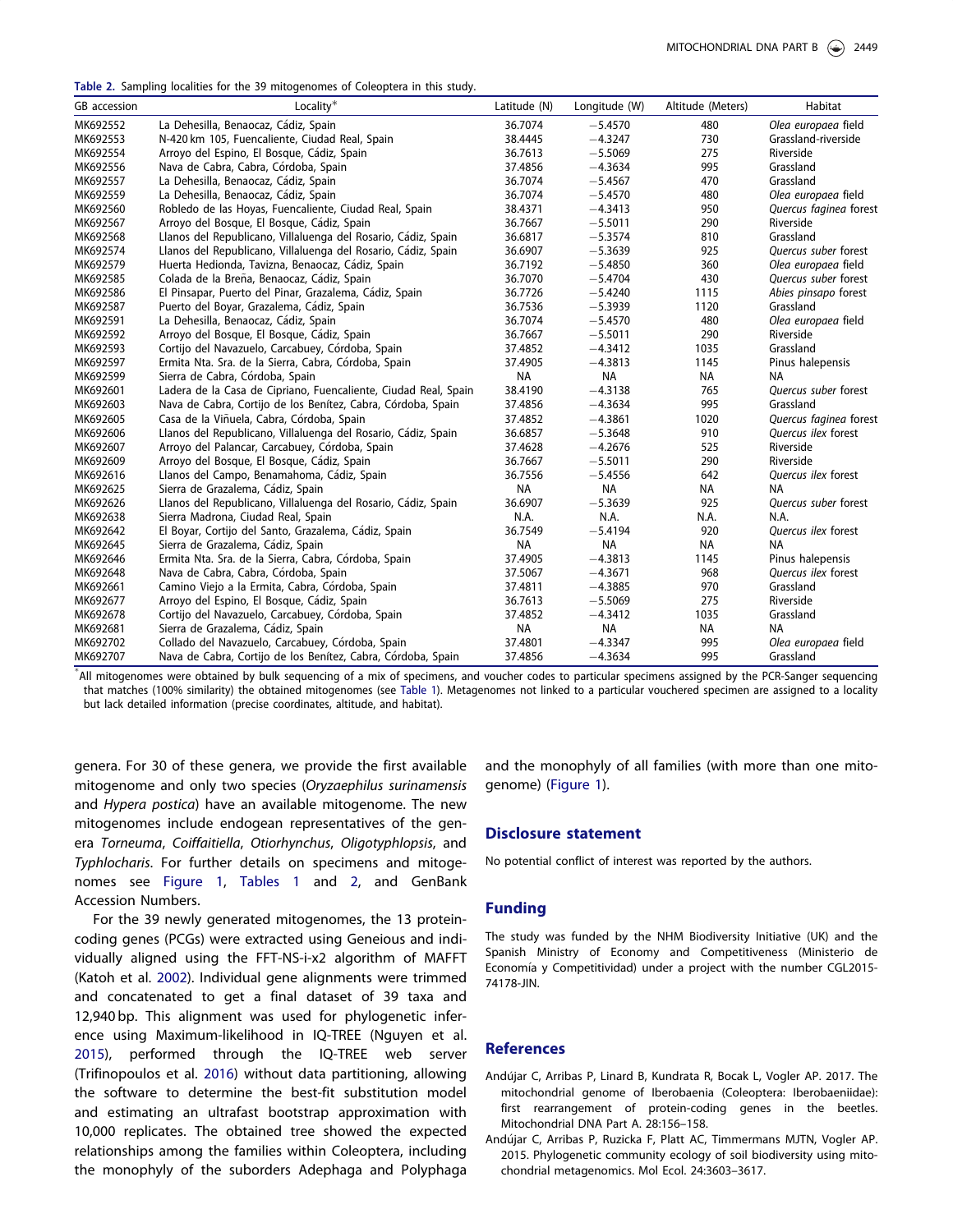<span id="page-3-0"></span>Table 2. Sampling localities for the 39 mitogenomes of Coleoptera in this study.

| GB accession                                                                                                                                            | Locality*                                                       | Latitude (N) | Longitude (W) | Altitude (Meters) | Habitat                    |  |  |
|---------------------------------------------------------------------------------------------------------------------------------------------------------|-----------------------------------------------------------------|--------------|---------------|-------------------|----------------------------|--|--|
| MK692552                                                                                                                                                | La Dehesilla, Benaocaz, Cádiz, Spain                            | 36.7074      | $-5.4570$     | 480               | Olea europaea field        |  |  |
| MK692553                                                                                                                                                | N-420 km 105, Fuencaliente, Ciudad Real, Spain                  | 38.4445      | $-4.3247$     | 730               | Grassland-riverside        |  |  |
| MK692554                                                                                                                                                | Arroyo del Espino, El Bosque, Cádiz, Spain                      | 36.7613      | $-5.5069$     | 275               | Riverside                  |  |  |
| MK692556                                                                                                                                                | Nava de Cabra, Cabra, Córdoba, Spain                            | 37.4856      | $-4.3634$     | 995               | Grassland                  |  |  |
| MK692557                                                                                                                                                | La Dehesilla, Benaocaz, Cádiz, Spain                            | 36.7074      | $-5.4567$     | 470               | Grassland                  |  |  |
| MK692559                                                                                                                                                | La Dehesilla, Benaocaz, Cádiz, Spain                            | 36.7074      | $-5.4570$     | 480               | Olea europaea field        |  |  |
| MK692560                                                                                                                                                | Robledo de las Hoyas, Fuencaliente, Ciudad Real, Spain          | 38.4371      | $-4.3413$     | 950               | Quercus faginea forest     |  |  |
| MK692567                                                                                                                                                | Arroyo del Bosque, El Bosque, Cádiz, Spain                      | 36.7667      | $-5.5011$     | 290               | Riverside                  |  |  |
| MK692568                                                                                                                                                | Llanos del Republicano, Villaluenga del Rosario, Cádiz, Spain   | 36.6817      | $-5.3574$     | 810               | Grassland                  |  |  |
| MK692574                                                                                                                                                | Llanos del Republicano, Villaluenga del Rosario, Cádiz, Spain   | 36.6907      | $-5.3639$     | 925               | Quercus suber forest       |  |  |
| MK692579                                                                                                                                                | Huerta Hedionda, Tavizna, Benaocaz, Cádiz, Spain                | 36.7192      | $-5.4850$     | 360               | Olea europaea field        |  |  |
| MK692585                                                                                                                                                | Colada de la Breña, Benaocaz, Cádiz, Spain                      | 36.7070      | $-5.4704$     | 430               | Quercus suber forest       |  |  |
| MK692586                                                                                                                                                | El Pinsapar, Puerto del Pinar, Grazalema, Cádiz, Spain          | 36.7726      | $-5.4240$     | 1115              | Abies pinsapo forest       |  |  |
| MK692587                                                                                                                                                | Puerto del Boyar, Grazalema, Cádiz, Spain                       | 36.7536      | $-5.3939$     | 1120              | Grassland                  |  |  |
| MK692591                                                                                                                                                | La Dehesilla, Benaocaz, Cádiz, Spain                            | 36.7074      | $-5.4570$     | 480               | Olea europaea field        |  |  |
| MK692592                                                                                                                                                | Arroyo del Bosque, El Bosque, Cádiz, Spain                      | 36.7667      | $-5.5011$     | 290               | Riverside                  |  |  |
| MK692593                                                                                                                                                | Cortijo del Navazuelo, Carcabuey, Córdoba, Spain                | 37.4852      | $-4.3412$     | 1035              | Grassland                  |  |  |
| MK692597                                                                                                                                                | Ermita Nta. Sra. de la Sierra, Cabra, Córdoba, Spain            | 37.4905      | $-4.3813$     | 1145              | Pinus halepensis           |  |  |
| MK692599                                                                                                                                                | Sierra de Cabra, Córdoba, Spain                                 | <b>NA</b>    | <b>NA</b>     | <b>NA</b>         | NA                         |  |  |
| MK692601                                                                                                                                                | Ladera de la Casa de Cipriano, Fuencaliente, Ciudad Real, Spain | 38.4190      | $-4.3138$     | 765               | Ouercus suber forest       |  |  |
| MK692603                                                                                                                                                | Nava de Cabra, Cortijo de los Benítez, Cabra, Córdoba, Spain    | 37.4856      | $-4.3634$     | 995               | Grassland                  |  |  |
| MK692605                                                                                                                                                | Casa de la Viñuela, Cabra, Córdoba, Spain                       | 37.4852      | $-4.3861$     | 1020              | Quercus faginea forest     |  |  |
| MK692606                                                                                                                                                | Llanos del Republicano, Villaluenga del Rosario, Cádiz, Spain   | 36.6857      | $-5.3648$     | 910               | Quercus ilex forest        |  |  |
| MK692607                                                                                                                                                | Arroyo del Palancar, Carcabuey, Córdoba, Spain                  | 37.4628      | $-4.2676$     | 525               | Riverside                  |  |  |
| MK692609                                                                                                                                                | Arroyo del Bosque, El Bosque, Cádiz, Spain                      | 36.7667      | $-5.5011$     | 290               | Riverside                  |  |  |
| MK692616                                                                                                                                                | Llanos del Campo, Benamahoma, Cádiz, Spain                      | 36.7556      | $-5.4556$     | 642               | Quercus ilex forest        |  |  |
| MK692625                                                                                                                                                | Sierra de Grazalema, Cádiz, Spain                               | NA           | <b>NA</b>     | NA                | <b>NA</b>                  |  |  |
| MK692626                                                                                                                                                | Llanos del Republicano, Villaluenga del Rosario, Cádiz, Spain   | 36.6907      | $-5.3639$     | 925               | Quercus suber forest       |  |  |
| MK692638                                                                                                                                                | Sierra Madrona, Ciudad Real, Spain                              | N.A.         | N.A.          | N.A.              | N.A.                       |  |  |
| MK692642                                                                                                                                                | El Boyar, Cortijo del Santo, Grazalema, Cádiz, Spain            | 36.7549      | $-5.4194$     | 920               | <b>Ouercus ilex forest</b> |  |  |
| MK692645                                                                                                                                                | Sierra de Grazalema, Cádiz, Spain                               | NA           | <b>NA</b>     | <b>NA</b>         | ΝA                         |  |  |
| MK692646                                                                                                                                                | Ermita Nta. Sra. de la Sierra, Cabra, Córdoba, Spain            | 37.4905      | $-4.3813$     | 1145              | Pinus halepensis           |  |  |
| MK692648                                                                                                                                                | Nava de Cabra, Cabra, Córdoba, Spain                            | 37.5067      | $-4.3671$     | 968               | Quercus ilex forest        |  |  |
| MK692661                                                                                                                                                | Camino Viejo a la Ermita, Cabra, Córdoba, Spain                 | 37.4811      | $-4.3885$     | 970               | Grassland                  |  |  |
| MK692677                                                                                                                                                | Arroyo del Espino, El Bosque, Cádiz, Spain                      | 36.7613      | $-5.5069$     | 275               | Riverside                  |  |  |
| MK692678                                                                                                                                                | Cortijo del Navazuelo, Carcabuey, Córdoba, Spain                | 37.4852      | $-4.3412$     | 1035              | Grassland                  |  |  |
| MK692681                                                                                                                                                | Sierra de Grazalema, Cádiz, Spain                               | <b>NA</b>    | <b>NA</b>     | NA                | ΝA                         |  |  |
| MK692702                                                                                                                                                | Collado del Navazuelo, Carcabuey, Córdoba, Spain                | 37.4801      | $-4.3347$     | 995               | Olea europaea field        |  |  |
| MK692707                                                                                                                                                | Nava de Cabra, Cortijo de los Benítez, Cabra, Córdoba, Spain    | 37.4856      | $-4.3634$     | 995               | Grassland                  |  |  |
| All mitogenomes were obtained by bulk seguencing of a mix of specimens, and voucher codes to particular specimens assigned by the PCR-Sanger seguencing |                                                                 |              |               |                   |                            |  |  |

that matches (100% similarity) the obtained mitogenomes (see [Table 1\)](#page-2-0). Metagenomes not linked to a particular vouchered specimen are assigned to a locality but lack detailed information (precise coordinates, altitude, and habitat).

genera. For 30 of these genera, we provide the first available mitogenome and only two species (Oryzaephilus surinamensis and Hypera postica) have an available mitogenome. The new mitogenomes include endogean representatives of the genera Torneuma, Coiffaitiella, Otiorhynchus, Oligotyphlopsis, and Typhlocharis. For further details on specimens and mitogenomes see [Figure 1,](#page-2-0) [Tables 1](#page-2-0) and 2, and GenBank Accession Numbers.

For the 39 newly generated mitogenomes, the 13 proteincoding genes (PCGs) were extracted using Geneious and individually aligned using the FFT-NS-i-x2 algorithm of MAFFT (Katoh et al. [2002](#page-4-0)). Individual gene alignments were trimmed and concatenated to get a final dataset of 39 taxa and 12,940 bp. This alignment was used for phylogenetic inference using Maximum-likelihood in IQ-TREE (Nguyen et al. [2015](#page-4-0)), performed through the IQ-TREE web server (Trifinopoulos et al. [2016](#page-4-0)) without data partitioning, allowing the software to determine the best-fit substitution model and estimating an ultrafast bootstrap approximation with 10,000 replicates. The obtained tree showed the expected relationships among the families within Coleoptera, including the monophyly of the suborders Adephaga and Polyphaga

and the monophyly of all families (with more than one mitogenome) ([Figure 1](#page-2-0)).

#### Disclosure statement

No potential conflict of interest was reported by the authors.

#### Funding

The study was funded by the NHM Biodiversity Initiative (UK) and the Spanish Ministry of Economy and Competitiveness (Ministerio de Economía y Competitividad) under a project with the number CGL2015-74178-JIN.

#### References

- Andujar C, Arribas P, Linard B, Kundrata R, Bocak L, Vogler AP. [2017](#page-1-0). The mitochondrial genome of Iberobaenia (Coleoptera: Iberobaeniidae): first rearrangement of protein-coding genes in the beetles. Mitochondrial DNA Part A. 28:156–158.
- Andujar C, Arribas P, Ruzicka F, Platt AC, Timmermans MJTN, Vogler AP. [2015](#page-1-0). Phylogenetic community ecology of soil biodiversity using mitochondrial metagenomics. Mol Ecol. 24:3603–3617.